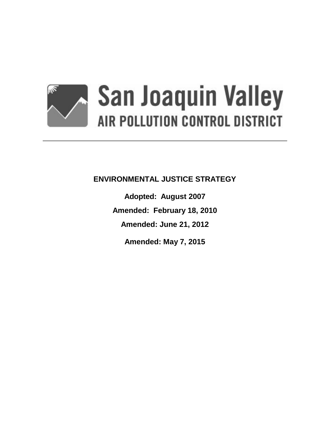

# **ENVIRONMENTAL JUSTICE STRATEGY**

**Adopted: August 2007 Amended: February 18, 2010 Amended: June 21, 2012 Amended: May 7, 2015**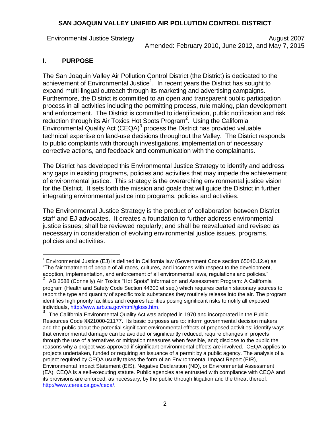Environmental Justice Strategy **August 2007** August 2007 Amended: February 2010, June 2012, and May 7, 2015

## **I. PURPOSE**

L,

The San Joaquin Valley Air Pollution Control District (the District) is dedicated to the achievement of Environmental Justice<sup>1</sup>. In recent years the District has sought to expand multi-lingual outreach through its marketing and advertising campaigns. Furthermore, the District is committed to an open and transparent public participation process in all activities including the permitting process, rule making, plan development and enforcement. The District is committed to identification, public notification and risk reduction through its Air Toxics Hot Spots Program<sup>2</sup>. Using the California Environmental Quality Act (CEQA) $3$  process the District has provided valuable technical expertise on land-use decisions throughout the Valley. The District responds to public complaints with thorough investigations, implementation of necessary corrective actions, and feedback and communication with the complainants.

The District has developed this Environmental Justice Strategy to identify and address any gaps in existing programs, policies and activities that may impede the achievement of environmental justice. This strategy is the overarching environmental justice vision for the District. It sets forth the mission and goals that will guide the District in further integrating environmental justice into programs, policies and activities.

The Environmental Justice Strategy is the product of collaboration between District staff and EJ advocates. It creates a foundation to further address environmental justice issues; shall be reviewed regularly; and shall be reevaluated and revised as necessary in consideration of evolving environmental justice issues, programs, policies and activities.

<sup>1</sup> Environmental Justice (EJ) is defined in California law (Government Code section 65040.12.e) as "The fair treatment of people of all races, cultures, and incomes with respect to the development, adoption, implementation, and enforcement of all environmental laws, regulations and policies."

<sup>2</sup> AB 2588 (Connelly) Air Toxics "Hot Spots" Information and Assessment Program: A California program (Health and Safety Code Section 44300 et seq.) which requires certain [stationary sources](http://www.arb.ca.gov/html/gloss.htm#stationary sources) to report the type and quantity of specific toxic substances they routinely release into the air. The program identifies high priority facilities and requires facilities posing significant risks to notify all exposed individuals, [http://www.arb.ca.gov/html/gloss.htm.](http://www.arb.ca.gov/html/gloss.htm)

<sup>3</sup> The California Environmental Quality Act was adopted in 1970 and incorporated in the Public Resources Code §§21000-21177. Its basic purposes are to: inform governmental decision makers and the public about the potential significant environmental effects of proposed activities; identify ways that environmental damage can be avoided or significantly reduced; require changes in projects through the use of alternatives or mitigation measures when feasible, and; disclose to the public the reasons why a project was approved if significant environmental effects are involved. CEQA applies to projects undertaken, funded or requiring an issuance of a permit by a public agency. The analysis of a project required by CEQA usually takes the form of an Environmental Impact Report (EIR), Environmental Impact Statement (EIS), Negative Declaration (ND), or Environmental Assessment (EA). CEQA is a self-executing statute. Public agencies are entrusted with compliance with CEQA and its provisions are enforced, as necessary, by the public through litigation and the threat thereof. [http://www.ceres.ca.gov/ceqa/.](http://www.ceres.ca.gov/ceqa/)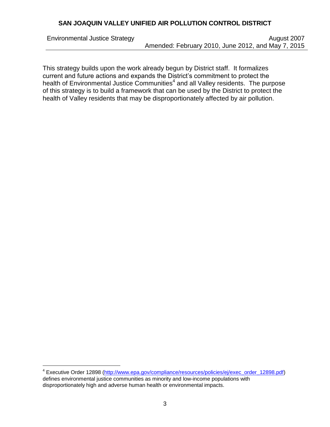i<br>L

Environmental Justice Strategy **August 2007** August 2007 Amended: February 2010, June 2012, and May 7, 2015

This strategy builds upon the work already begun by District staff. It formalizes current and future actions and expands the District's commitment to protect the health of Environmental Justice Communities<sup>4</sup> and all Valley residents. The purpose of this strategy is to build a framework that can be used by the District to protect the health of Valley residents that may be disproportionately affected by air pollution.

<sup>&</sup>lt;sup>4</sup> Executive Order 12898 [\(http://www.epa.gov/compliance/resources/policies/ej/exec\\_order\\_12898.pdf\)](http://www.epa.gov/compliance/resources/policies/ej/exec_order_12898.pdf) defines environmental justice communities as minority and low-income populations with disproportionately high and adverse human health or environmental impacts.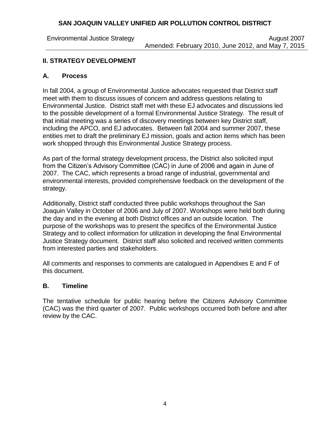Environmental Justice Strategy **August 2007** August 2007 Amended: February 2010, June 2012, and May 7, 2015

## **II. STRATEGY DEVELOPMENT**

#### **A. Process**

In fall 2004, a group of Environmental Justice advocates requested that District staff meet with them to discuss issues of concern and address questions relating to Environmental Justice. District staff met with these EJ advocates and discussions led to the possible development of a formal Environmental Justice Strategy. The result of that initial meeting was a series of discovery meetings between key District staff, including the APCO, and EJ advocates. Between fall 2004 and summer 2007, these entities met to draft the preliminary EJ mission, goals and action items which has been work shopped through this Environmental Justice Strategy process.

As part of the formal strategy development process, the District also solicited input from the Citizen's Advisory Committee (CAC) in June of 2006 and again in June of 2007. The CAC, which represents a broad range of industrial, governmental and environmental interests, provided comprehensive feedback on the development of the strategy.

Additionally, District staff conducted three public workshops throughout the San Joaquin Valley in October of 2006 and July of 2007. Workshops were held both during the day and in the evening at both District offices and an outside location. The purpose of the workshops was to present the specifics of the Environmental Justice Strategy and to collect information for utilization in developing the final Environmental Justice Strategy document. District staff also solicited and received written comments from interested parties and stakeholders.

All comments and responses to comments are catalogued in Appendixes E and F of this document.

#### **B. Timeline**

The tentative schedule for public hearing before the Citizens Advisory Committee (CAC) was the third quarter of 2007. Public workshops occurred both before and after review by the CAC.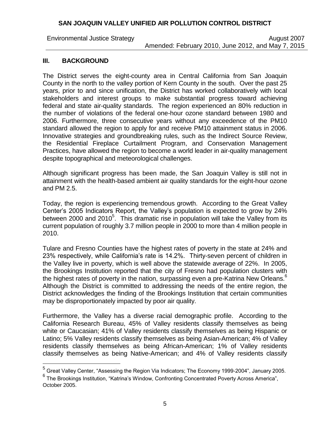Environmental Justice Strategy **August 2007** August 2007 Amended: February 2010, June 2012, and May 7, 2015

#### **III. BACKGROUND**

i<br>L

The District serves the eight-county area in Central California from San Joaquin County in the north to the valley portion of Kern County in the south. Over the past 25 years, prior to and since unification, the District has worked collaboratively with local stakeholders and interest groups to make substantial progress toward achieving federal and state air-quality standards. The region experienced an 80% reduction in the number of violations of the federal one-hour ozone standard between 1980 and 2006. Furthermore, three consecutive years without any exceedence of the PM10 standard allowed the region to apply for and receive PM10 attainment status in 2006. Innovative strategies and groundbreaking rules, such as the Indirect Source Review, the Residential Fireplace Curtailment Program, and Conservation Management Practices, have allowed the region to become a world leader in air-quality management despite topographical and meteorological challenges.

Although significant progress has been made, the San Joaquin Valley is still not in attainment with the health-based ambient air quality standards for the eight-hour ozone and PM 2.5.

Today, the region is experiencing tremendous growth. According to the Great Valley Center's 2005 Indicators Report, the Valley's population is expected to grow by 24% between 2000 and 2010<sup>5</sup>. This dramatic rise in population will take the Valley from its current population of roughly 3.7 million people in 2000 to more than 4 million people in 2010.

Tulare and Fresno Counties have the highest rates of poverty in the state at 24% and 23% respectively, while California's rate is 14.2%. Thirty-seven percent of children in the Valley live in poverty, which is well above the statewide average of 22%. In 2005, the Brookings Institution reported that the city of Fresno had population clusters with the highest rates of poverty in the nation, surpassing even a pre-Katrina New Orleans.<sup>6</sup> Although the District is committed to addressing the needs of the entire region, the District acknowledges the finding of the Brookings Institution that certain communities may be disproportionately impacted by poor air quality.

Furthermore, the Valley has a diverse racial demographic profile. According to the California Research Bureau, 45% of Valley residents classify themselves as being white or Caucasian; 41% of Valley residents classify themselves as being Hispanic or Latino; 5% Valley residents classify themselves as being Asian-American; 4% of Valley residents classify themselves as being African-American; 1% of Valley residents classify themselves as being Native-American; and 4% of Valley residents classify

<sup>5</sup> Great Valley Center, "Assessing the Region Via Indicators; The Economy 1999-2004", January 2005.

<sup>6</sup> The Brookings Institution, "Katrina's Window, Confronting Concentrated Poverty Across America", October 2005.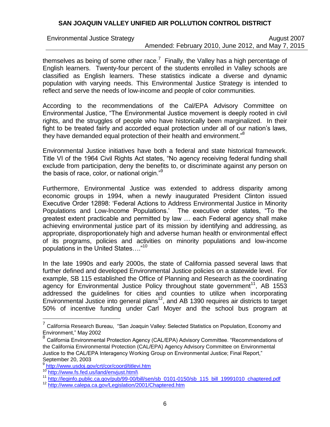Environmental Justice Strategy **August 2007** August 2007 Amended: February 2010, June 2012, and May 7, 2015

themselves as being of some other race.<sup>7</sup> Finally, the Valley has a high percentage of English learners. Twenty-four percent of the students enrolled in Valley schools are classified as English learners. These statistics indicate a diverse and dynamic population with varying needs. This Environmental Justice Strategy is intended to reflect and serve the needs of low-income and people of color communities.

According to the recommendations of the Cal/EPA Advisory Committee on Environmental Justice, "The Environmental Justice movement is deeply rooted in civil rights, and the struggles of people who have historically been marginalized. In their fight to be treated fairly and accorded equal protection under all of our nation's laws, they have demanded equal protection of their health and environment."<sup>8</sup>

Environmental Justice initiatives have both a federal and state historical framework. Title VI of the 1964 Civil Rights Act states, "No agency receiving federal funding shall exclude from participation, deny the benefits to, or discriminate against any person on the basis of race, color, or national origin."<sup>9</sup>

Furthermore, Environmental Justice was extended to address disparity among economic groups in 1994, when a newly inaugurated President Clinton issued Executive Order 12898: 'Federal Actions to Address Environmental Justice in Minority Populations and Low-Income Populations.' The executive order states, "To the greatest extent practicable and permitted by law … each Federal agency shall make achieving environmental justice part of its mission by identifying and addressing, as appropriate, disproportionately high and adverse human health or environmental effect of its programs, policies and activities on minority populations and low-income populations in the United States…." 10

In the late 1990s and early 2000s, the state of California passed several laws that further defined and developed Environmental Justice policies on a statewide level. For example, SB 115 established the Office of Planning and Research as the coordinating agency for Environmental Justice Policy throughout state government<sup>11</sup>, AB 1553 addressed the guidelines for cities and counties to utilize when incorporating Environmental Justice into general plans<sup>12</sup>, and AB 1390 requires air districts to target 50% of incentive funding under Carl Moyer and the school bus program at

<sup>————————————————————&</sup>lt;br><sup>7</sup> California Research Bureau, "San Joaquin Valley: Selected Statistics on Population, Economy and Environment," May 2002

<sup>8</sup> California Environmental Protection Agency (CAL/EPA) Advisory Committee. "Recommendations of the California Environmental Protection (CAL/EPA) Agency Advisory Committee on Environmental Justice to the CAL/EPA Interagency Working Group on Environmental Justice; Final Report," September 20, 2003

<sup>9</sup> <http://www.usdoj.gov/crt/cor/coord/titlevi.htm>

<sup>10</sup> http://www.fs.fed.us/land/envjust.html

<sup>&</sup>lt;sup>11</sup> [http://leginfo.public.ca.gov/pub/99-00/bill/sen/sb\\_0101-0150/sb\\_115\\_bill\\_19991010\\_chaptered.pdf](http://leginfo.public.ca.gov/pub/99-00/bill/sen/sb_0101-0150/sb_115_bill_19991010_chaptered.pdf)

<sup>12</sup> <http://www.calepa.ca.gov/Legislation/2001/Chaptered.htm>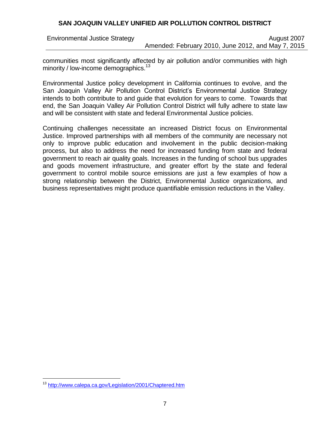Environmental Justice Strategy **August 2007** August 2007 Amended: February 2010, June 2012, and May 7, 2015

communities most significantly affected by air pollution and/or communities with high minority / low-income demographics.<sup>13</sup>

Environmental Justice policy development in California continues to evolve, and the San Joaquin Valley Air Pollution Control District's Environmental Justice Strategy intends to both contribute to and guide that evolution for years to come. Towards that end, the San Joaquin Valley Air Pollution Control District will fully adhere to state law and will be consistent with state and federal Environmental Justice policies.

Continuing challenges necessitate an increased District focus on Environmental Justice. Improved partnerships with all members of the community are necessary not only to improve public education and involvement in the public decision-making process, but also to address the need for increased funding from state and federal government to reach air quality goals. Increases in the funding of school bus upgrades and goods movement infrastructure, and greater effort by the state and federal government to control mobile source emissions are just a few examples of how a strong relationship between the District, Environmental Justice organizations, and business representatives might produce quantifiable emission reductions in the Valley.

i<br>L

<sup>&</sup>lt;sup>13</sup> <http://www.calepa.ca.gov/Legislation/2001/Chaptered.htm>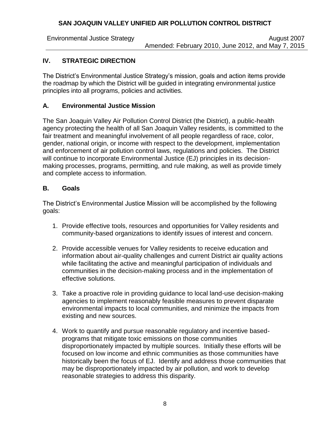Environmental Justice Strategy **August 2007** August 2007 Amended: February 2010, June 2012, and May 7, 2015

# **IV. STRATEGIC DIRECTION**

The District's Environmental Justice Strategy's mission, goals and action items provide the roadmap by which the District will be guided in integrating environmental justice principles into all programs, policies and activities.

## **A. Environmental Justice Mission**

The San Joaquin Valley Air Pollution Control District (the District), a public-health agency protecting the health of all San Joaquin Valley residents, is committed to the fair treatment and meaningful involvement of all people regardless of race, color, gender, national origin, or income with respect to the development, implementation and enforcement of air pollution control laws, regulations and policies. The District will continue to incorporate Environmental Justice (EJ) principles in its decisionmaking processes, programs, permitting, and rule making, as well as provide timely and complete access to information.

#### **B. Goals**

The District's Environmental Justice Mission will be accomplished by the following goals:

- 1. Provide effective tools, resources and opportunities for Valley residents and community-based organizations to identify issues of interest and concern.
- 2. Provide accessible venues for Valley residents to receive education and information about air-quality challenges and current District air quality actions while facilitating the active and meaningful participation of individuals and communities in the decision-making process and in the implementation of effective solutions.
- 3. Take a proactive role in providing guidance to local land-use decision-making agencies to implement reasonably feasible measures to prevent disparate environmental impacts to local communities, and minimize the impacts from existing and new sources.
- 4. Work to quantify and pursue reasonable regulatory and incentive basedprograms that mitigate toxic emissions on those communities disproportionately impacted by multiple sources. Initially these efforts will be focused on low income and ethnic communities as those communities have historically been the focus of EJ. Identify and address those communities that may be disproportionately impacted by air pollution, and work to develop reasonable strategies to address this disparity.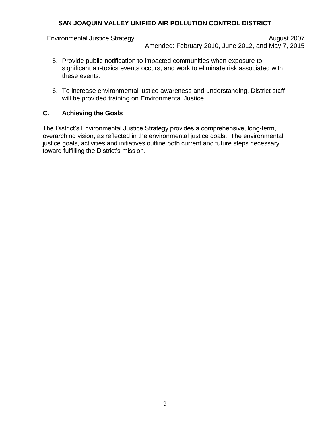- 5. Provide public notification to impacted communities when exposure to significant air-toxics events occurs, and work to eliminate risk associated with these events.
- 6. To increase environmental justice awareness and understanding, District staff will be provided training on Environmental Justice.

# **C. Achieving the Goals**

The District's Environmental Justice Strategy provides a comprehensive, long-term, overarching vision, as reflected in the environmental justice goals. The environmental justice goals, activities and initiatives outline both current and future steps necessary toward fulfilling the District's mission.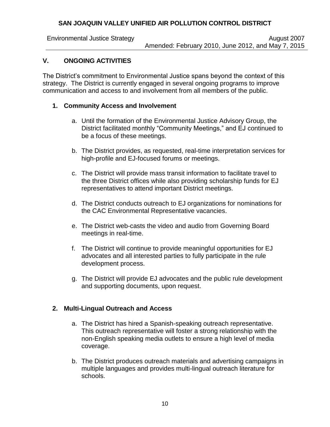Environmental Justice Strategy **August 2007** August 2007 Amended: February 2010, June 2012, and May 7, 2015

# **V. ONGOING ACTIVITIES**

The District's commitment to Environmental Justice spans beyond the context of this strategy. The District is currently engaged in several ongoing programs to improve communication and access to and involvement from all members of the public.

#### **1. Community Access and Involvement**

- a. Until the formation of the Environmental Justice Advisory Group, the District facilitated monthly "Community Meetings," and EJ continued to be a focus of these meetings.
- b. The District provides, as requested, real-time interpretation services for high-profile and EJ-focused forums or meetings.
- c. The District will provide mass transit information to facilitate travel to the three District offices while also providing scholarship funds for EJ representatives to attend important District meetings.
- d. The District conducts outreach to EJ organizations for nominations for the CAC Environmental Representative vacancies.
- e. The District web-casts the video and audio from Governing Board meetings in real-time.
- f. The District will continue to provide meaningful opportunities for EJ advocates and all interested parties to fully participate in the rule development process.
- g. The District will provide EJ advocates and the public rule development and supporting documents, upon request.

## **2. Multi-Lingual Outreach and Access**

- a. The District has hired a Spanish-speaking outreach representative. This outreach representative will foster a strong relationship with the non-English speaking media outlets to ensure a high level of media coverage.
- b. The District produces outreach materials and advertising campaigns in multiple languages and provides multi-lingual outreach literature for schools.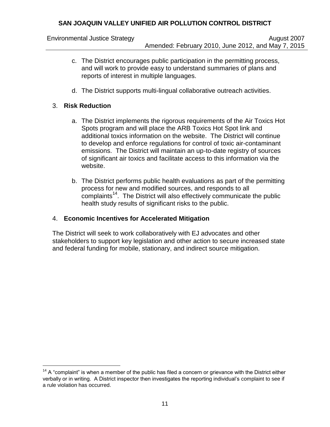- c. The District encourages public participation in the permitting process, and will work to provide easy to understand summaries of plans and reports of interest in multiple languages.
- d. The District supports multi-lingual collaborative outreach activities.

## 3. **Risk Reduction**

i<br>L

- a. The District implements the rigorous requirements of the Air Toxics Hot Spots program and will place the ARB Toxics Hot Spot link and additional toxics information on the website. The District will continue to develop and enforce regulations for control of toxic air-contaminant emissions. The District will maintain an up-to-date registry of sources of significant air toxics and facilitate access to this information via the website.
- b. The District performs public health evaluations as part of the permitting process for new and modified sources, and responds to all complaints<sup>14</sup>. The District will also effectively communicate the public health study results of significant risks to the public.

## 4. **Economic Incentives for Accelerated Mitigation**

The District will seek to work collaboratively with EJ advocates and other stakeholders to support key legislation and other action to secure increased state and federal funding for mobile, stationary, and indirect source mitigation.

 $14$  A "complaint" is when a member of the public has filed a concern or grievance with the District either verbally or in writing. A District inspector then investigates the reporting individual's complaint to see if a rule violation has occurred.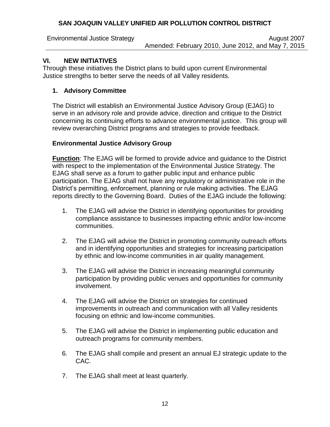#### **VI. NEW INITIATIVES**

Through these initiatives the District plans to build upon current Environmental Justice strengths to better serve the needs of all Valley residents.

# **1. Advisory Committee**

The District will establish an Environmental Justice Advisory Group (EJAG) to serve in an advisory role and provide advice, direction and critique to the District concerning its continuing efforts to advance environmental justice. This group will review overarching District programs and strategies to provide feedback.

## **Environmental Justice Advisory Group**

**Function**: The EJAG will be formed to provide advice and guidance to the District with respect to the implementation of the Environmental Justice Strategy. The EJAG shall serve as a forum to gather public input and enhance public participation. The EJAG shall not have any regulatory or administrative role in the District's permitting, enforcement, planning or rule making activities. The EJAG reports directly to the Governing Board. Duties of the EJAG include the following:

- 1. The EJAG will advise the District in identifying opportunities for providing compliance assistance to businesses impacting ethnic and/or low-income communities.
- 2. The EJAG will advise the District in promoting community outreach efforts and in identifying opportunities and strategies for increasing participation by ethnic and low-income communities in air quality management.
- 3. The EJAG will advise the District in increasing meaningful community participation by providing public venues and opportunities for community involvement.
- 4. The EJAG will advise the District on strategies for continued improvements in outreach and communication with all Valley residents focusing on ethnic and low-income communities.
- 5. The EJAG will advise the District in implementing public education and outreach programs for community members.
- 6. The EJAG shall compile and present an annual EJ strategic update to the CAC.
- 7. The EJAG shall meet at least quarterly.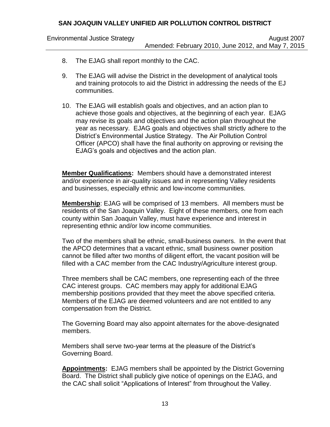- 8. The EJAG shall report monthly to the CAC.
- 9. The EJAG will advise the District in the development of analytical tools and training protocols to aid the District in addressing the needs of the EJ communities.
- 10. The EJAG will establish goals and objectives, and an action plan to achieve those goals and objectives, at the beginning of each year. EJAG may revise its goals and objectives and the action plan throughout the year as necessary. EJAG goals and objectives shall strictly adhere to the District's Environmental Justice Strategy. The Air Pollution Control Officer (APCO) shall have the final authority on approving or revising the EJAG's goals and objectives and the action plan.

**Member Qualifications:** Members should have a demonstrated interest and/or experience in air-quality issues and in representing Valley residents and businesses, especially ethnic and low-income communities.

**Membership**: EJAG will be comprised of 13 members. All members must be residents of the San Joaquin Valley. Eight of these members, one from each county within San Joaquin Valley, must have experience and interest in representing ethnic and/or low income communities.

Two of the members shall be ethnic, small-business owners. In the event that the APCO determines that a vacant ethnic, small business owner position cannot be filled after two months of diligent effort, the vacant position will be filled with a CAC member from the CAC Industry/Agriculture interest group.

Three members shall be CAC members, one representing each of the three CAC interest groups. CAC members may apply for additional EJAG membership positions provided that they meet the above specified criteria. Members of the EJAG are deemed volunteers and are not entitled to any compensation from the District.

The Governing Board may also appoint alternates for the above-designated members.

Members shall serve two-year terms at the pleasure of the District's Governing Board.

**Appointments:** EJAG members shall be appointed by the District Governing Board. The District shall publicly give notice of openings on the EJAG, and the CAC shall solicit "Applications of Interest" from throughout the Valley.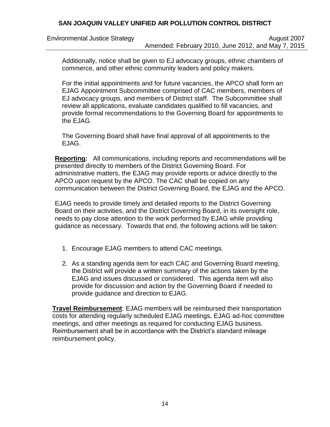Environmental Justice Strategy **August 2007** August 2007 Amended: February 2010, June 2012, and May 7, 2015

Additionally, notice shall be given to EJ advocacy groups, ethnic chambers of commerce, and other ethnic community leaders and policy makers.

For the initial appointments and for future vacancies, the APCO shall form an EJAG Appointment Subcommittee comprised of CAC members, members of EJ advocacy groups, and members of District staff. The Subcommittee shall review all applications, evaluate candidates qualified to fill vacancies, and provide formal recommendations to the Governing Board for appointments to the EJAG.

The Governing Board shall have final approval of all appointments to the EJAG.

**Reporting:** All communications, including reports and recommendations will be presented directly to members of the District Governing Board. For administrative matters, the EJAG may provide reports or advice directly to the APCO upon request by the APCO. The CAC shall be copied on any communication between the District Governing Board, the EJAG and the APCO.

EJAG needs to provide timely and detailed reports to the District Governing Board on their activities, and the District Governing Board, in its oversight role, needs to pay close attention to the work performed by EJAG while providing guidance as necessary. Towards that end, the following actions will be taken:

- 1. Encourage EJAG members to attend CAC meetings.
- 2. As a standing agenda item for each CAC and Governing Board meeting, the District will provide a written summary of the actions taken by the EJAG and issues discussed or considered. This agenda item will also provide for discussion and action by the Governing Board if needed to provide guidance and direction to EJAG.

**Travel Reimbursement**: EJAG members will be reimbursed their transportation costs for attending regularly scheduled EJAG meetings, EJAG ad-hoc committee meetings, and other meetings as required for conducting EJAG business. Reimbursement shall be in accordance with the District's standard mileage reimbursement policy.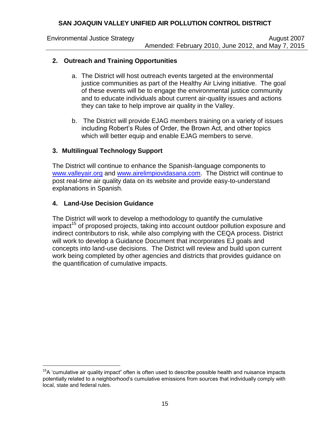Environmental Justice Strategy **August 2007** August 2007 Amended: February 2010, June 2012, and May 7, 2015

## **2. Outreach and Training Opportunities**

- a. The District will host outreach events targeted at the environmental justice communities as part of the Healthy Air Living initiative. The goal of these events will be to engage the environmental justice community and to educate individuals about current air-quality issues and actions they can take to help improve air quality in the Valley.
- b. The District will provide EJAG members training on a variety of issues including Robert's Rules of Order, the Brown Act, and other topics which will better equip and enable EJAG members to serve.

## **3. Multilingual Technology Support**

The District will continue to enhance the Spanish-language components to [www.valleyair.org](http://www.valleyair.org/) and [www.airelimpiovidasana.com.](http://www.airelimpiovidasana.com/) The District will continue to post real-time air quality data on its website and provide easy-to-understand explanations in Spanish.

#### **4. Land-Use Decision Guidance**

i<br>L

The District will work to develop a methodology to quantify the cumulative  $impat<sup>15</sup>$  of proposed projects, taking into account outdoor pollution exposure and indirect contributors to risk, while also complying with the CEQA process. District will work to develop a Guidance Document that incorporates EJ goals and concepts into land-use decisions. The District will review and build upon current work being completed by other agencies and districts that provides guidance on the quantification of cumulative impacts.

 $15A$  'cumulative air quality impact" often is often used to describe possible health and nuisance impacts potentially related to a neighborhood's cumulative emissions from sources that individually comply with local, state and federal rules.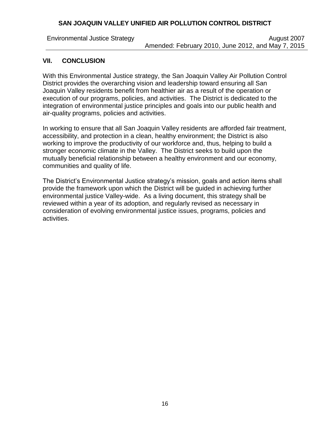Environmental Justice Strategy **August 2007** August 2007 Amended: February 2010, June 2012, and May 7, 2015

#### **VII. CONCLUSION**

With this Environmental Justice strategy, the San Joaquin Valley Air Pollution Control District provides the overarching vision and leadership toward ensuring all San Joaquin Valley residents benefit from healthier air as a result of the operation or execution of our programs, policies, and activities. The District is dedicated to the integration of environmental justice principles and goals into our public health and air-quality programs, policies and activities.

In working to ensure that all San Joaquin Valley residents are afforded fair treatment, accessibility, and protection in a clean, healthy environment; the District is also working to improve the productivity of our workforce and, thus, helping to build a stronger economic climate in the Valley. The District seeks to build upon the mutually beneficial relationship between a healthy environment and our economy, communities and quality of life.

The District's Environmental Justice strategy's mission, goals and action items shall provide the framework upon which the District will be guided in achieving further environmental justice Valley-wide. As a living document, this strategy shall be reviewed within a year of its adoption, and regularly revised as necessary in consideration of evolving environmental justice issues, programs, policies and activities.